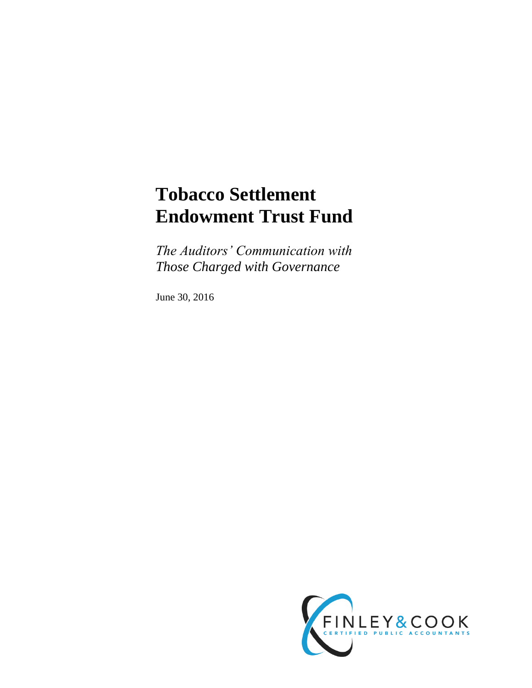# **Tobacco Settlement Endowment Trust Fund**

*The Auditors' Communication with Those Charged with Governance*

June 30, 2016

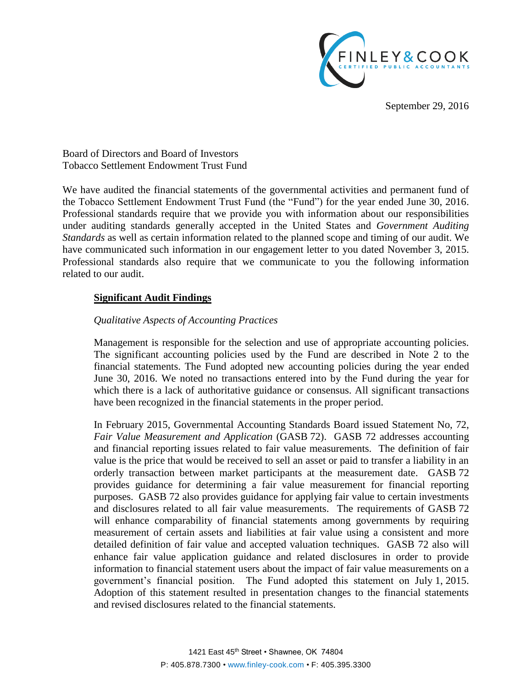

September 29, 2016

Board of Directors and Board of Investors Tobacco Settlement Endowment Trust Fund

We have audited the financial statements of the governmental activities and permanent fund of the Tobacco Settlement Endowment Trust Fund (the "Fund") for the year ended June 30, 2016. Professional standards require that we provide you with information about our responsibilities under auditing standards generally accepted in the United States and *Government Auditing Standards* as well as certain information related to the planned scope and timing of our audit. We have communicated such information in our engagement letter to you dated November 3, 2015. Professional standards also require that we communicate to you the following information related to our audit.

## **Significant Audit Findings**

## *Qualitative Aspects of Accounting Practices*

Management is responsible for the selection and use of appropriate accounting policies. The significant accounting policies used by the Fund are described in Note 2 to the financial statements. The Fund adopted new accounting policies during the year ended June 30, 2016. We noted no transactions entered into by the Fund during the year for which there is a lack of authoritative guidance or consensus. All significant transactions have been recognized in the financial statements in the proper period.

In February 2015, Governmental Accounting Standards Board issued Statement No, 72, *Fair Value Measurement and Application* (GASB 72). GASB 72 addresses accounting and financial reporting issues related to fair value measurements. The definition of fair value is the price that would be received to sell an asset or paid to transfer a liability in an orderly transaction between market participants at the measurement date. GASB 72 provides guidance for determining a fair value measurement for financial reporting purposes. GASB 72 also provides guidance for applying fair value to certain investments and disclosures related to all fair value measurements. The requirements of GASB 72 will enhance comparability of financial statements among governments by requiring measurement of certain assets and liabilities at fair value using a consistent and more detailed definition of fair value and accepted valuation techniques. GASB 72 also will enhance fair value application guidance and related disclosures in order to provide information to financial statement users about the impact of fair value measurements on a government's financial position. The Fund adopted this statement on July 1, 2015. Adoption of this statement resulted in presentation changes to the financial statements and revised disclosures related to the financial statements.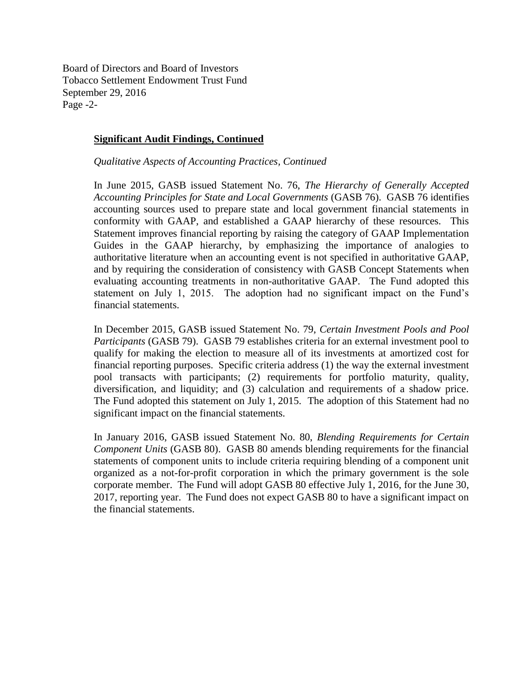Board of Directors and Board of Investors Tobacco Settlement Endowment Trust Fund September 29, 2016 Page -2-

## **Significant Audit Findings, Continued**

*Qualitative Aspects of Accounting Practices, Continued*

In June 2015, GASB issued Statement No. 76, *The Hierarchy of Generally Accepted Accounting Principles for State and Local Governments* (GASB 76). GASB 76 identifies accounting sources used to prepare state and local government financial statements in conformity with GAAP, and established a GAAP hierarchy of these resources. This Statement improves financial reporting by raising the category of GAAP Implementation Guides in the GAAP hierarchy, by emphasizing the importance of analogies to authoritative literature when an accounting event is not specified in authoritative GAAP, and by requiring the consideration of consistency with GASB Concept Statements when evaluating accounting treatments in non-authoritative GAAP. The Fund adopted this statement on July 1, 2015. The adoption had no significant impact on the Fund's financial statements.

In December 2015, GASB issued Statement No. 79, *Certain Investment Pools and Pool Participants* (GASB 79). GASB 79 establishes criteria for an external investment pool to qualify for making the election to measure all of its investments at amortized cost for financial reporting purposes. Specific criteria address (1) the way the external investment pool transacts with participants; (2) requirements for portfolio maturity, quality, diversification, and liquidity; and (3) calculation and requirements of a shadow price. The Fund adopted this statement on July 1, 2015. The adoption of this Statement had no significant impact on the financial statements.

In January 2016, GASB issued Statement No. 80, *Blending Requirements for Certain Component Units* (GASB 80). GASB 80 amends blending requirements for the financial statements of component units to include criteria requiring blending of a component unit organized as a not-for-profit corporation in which the primary government is the sole corporate member. The Fund will adopt GASB 80 effective July 1, 2016, for the June 30, 2017, reporting year. The Fund does not expect GASB 80 to have a significant impact on the financial statements.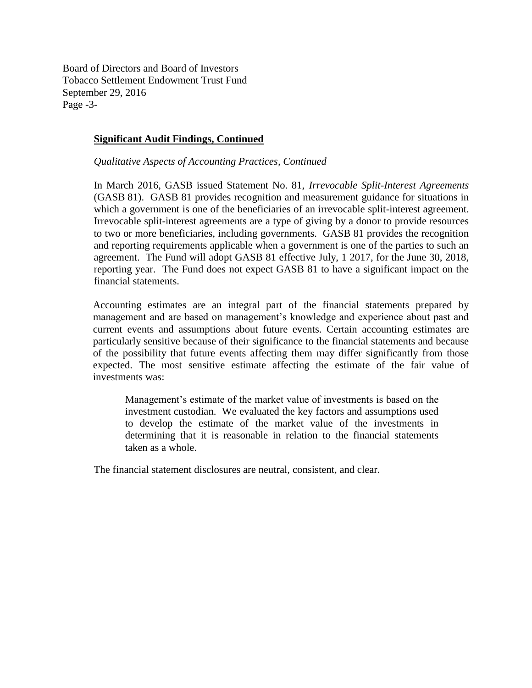Board of Directors and Board of Investors Tobacco Settlement Endowment Trust Fund September 29, 2016 Page -3-

## **Significant Audit Findings, Continued**

*Qualitative Aspects of Accounting Practices, Continued*

In March 2016, GASB issued Statement No. 81, *Irrevocable Split-Interest Agreements* (GASB 81). GASB 81 provides recognition and measurement guidance for situations in which a government is one of the beneficiaries of an irrevocable split-interest agreement. Irrevocable split-interest agreements are a type of giving by a donor to provide resources to two or more beneficiaries, including governments. GASB 81 provides the recognition and reporting requirements applicable when a government is one of the parties to such an agreement. The Fund will adopt GASB 81 effective July, 1 2017, for the June 30, 2018, reporting year. The Fund does not expect GASB 81 to have a significant impact on the financial statements.

Accounting estimates are an integral part of the financial statements prepared by management and are based on management's knowledge and experience about past and current events and assumptions about future events. Certain accounting estimates are particularly sensitive because of their significance to the financial statements and because of the possibility that future events affecting them may differ significantly from those expected. The most sensitive estimate affecting the estimate of the fair value of investments was:

Management's estimate of the market value of investments is based on the investment custodian. We evaluated the key factors and assumptions used to develop the estimate of the market value of the investments in determining that it is reasonable in relation to the financial statements taken as a whole.

The financial statement disclosures are neutral, consistent, and clear.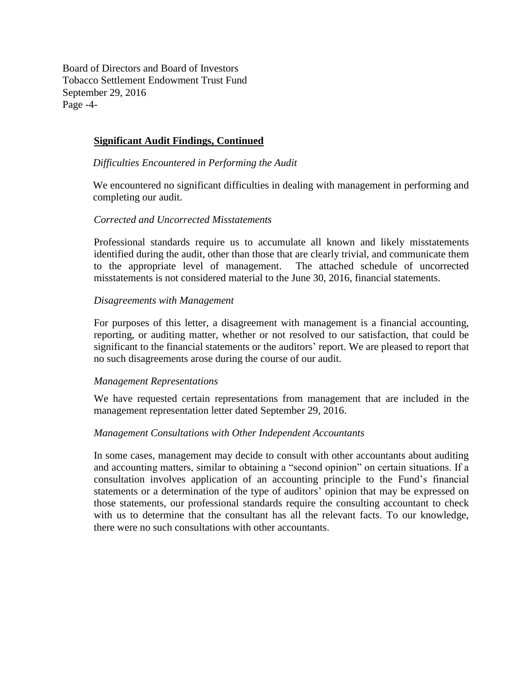Board of Directors and Board of Investors Tobacco Settlement Endowment Trust Fund September 29, 2016 Page -4-

## **Significant Audit Findings, Continued**

*Difficulties Encountered in Performing the Audit*

We encountered no significant difficulties in dealing with management in performing and completing our audit.

#### *Corrected and Uncorrected Misstatements*

Professional standards require us to accumulate all known and likely misstatements identified during the audit, other than those that are clearly trivial, and communicate them to the appropriate level of management. The attached schedule of uncorrected misstatements is not considered material to the June 30, 2016, financial statements.

#### *Disagreements with Management*

For purposes of this letter, a disagreement with management is a financial accounting, reporting, or auditing matter, whether or not resolved to our satisfaction, that could be significant to the financial statements or the auditors' report. We are pleased to report that no such disagreements arose during the course of our audit.

#### *Management Representations*

We have requested certain representations from management that are included in the management representation letter dated September 29, 2016.

#### *Management Consultations with Other Independent Accountants*

In some cases, management may decide to consult with other accountants about auditing and accounting matters, similar to obtaining a "second opinion" on certain situations. If a consultation involves application of an accounting principle to the Fund's financial statements or a determination of the type of auditors' opinion that may be expressed on those statements, our professional standards require the consulting accountant to check with us to determine that the consultant has all the relevant facts. To our knowledge, there were no such consultations with other accountants.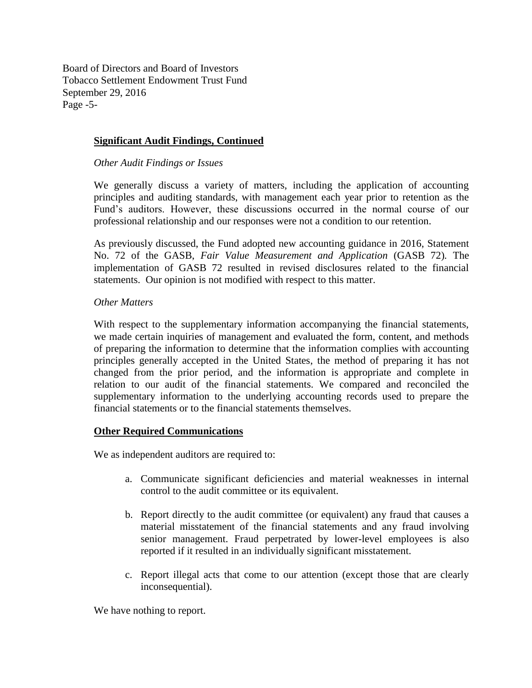Board of Directors and Board of Investors Tobacco Settlement Endowment Trust Fund September 29, 2016 Page -5-

## **Significant Audit Findings, Continued**

*Other Audit Findings or Issues*

We generally discuss a variety of matters, including the application of accounting principles and auditing standards, with management each year prior to retention as the Fund's auditors. However, these discussions occurred in the normal course of our professional relationship and our responses were not a condition to our retention.

As previously discussed, the Fund adopted new accounting guidance in 2016, Statement No. 72 of the GASB, *Fair Value Measurement and Application* (GASB 72)*.* The implementation of GASB 72 resulted in revised disclosures related to the financial statements.Our opinion is not modified with respect to this matter.

## *Other Matters*

With respect to the supplementary information accompanying the financial statements, we made certain inquiries of management and evaluated the form, content, and methods of preparing the information to determine that the information complies with accounting principles generally accepted in the United States, the method of preparing it has not changed from the prior period, and the information is appropriate and complete in relation to our audit of the financial statements. We compared and reconciled the supplementary information to the underlying accounting records used to prepare the financial statements or to the financial statements themselves.

## **Other Required Communications**

We as independent auditors are required to:

- a. Communicate significant deficiencies and material weaknesses in internal control to the audit committee or its equivalent.
- b. Report directly to the audit committee (or equivalent) any fraud that causes a material misstatement of the financial statements and any fraud involving senior management. Fraud perpetrated by lower-level employees is also reported if it resulted in an individually significant misstatement.
- c. Report illegal acts that come to our attention (except those that are clearly inconsequential).

We have nothing to report.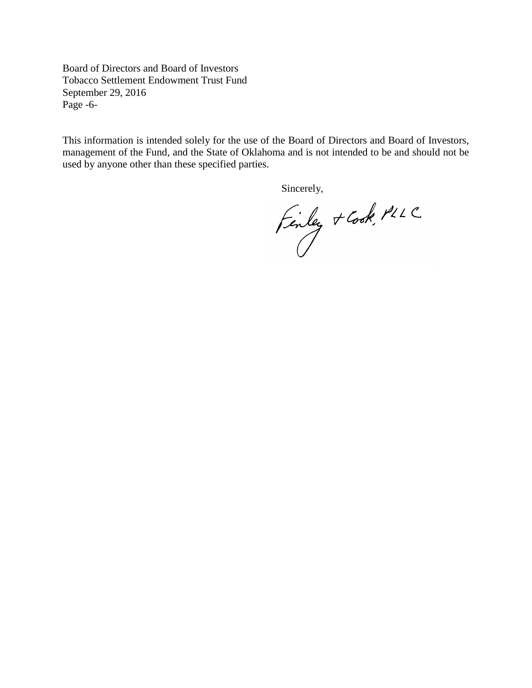Board of Directors and Board of Investors Tobacco Settlement Endowment Trust Fund September 29, 2016 Page -6-

This information is intended solely for the use of the Board of Directors and Board of Investors, management of the Fund, and the State of Oklahoma and is not intended to be and should not be used by anyone other than these specified parties.

Sincerely,

Finley + Cook, PLLC